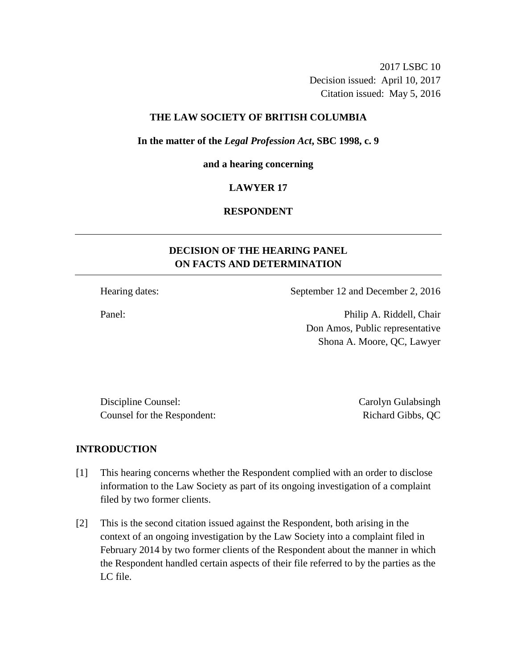2017 LSBC 10 Decision issued: April 10, 2017 Citation issued: May 5, 2016

### **THE LAW SOCIETY OF BRITISH COLUMBIA**

#### **In the matter of the** *Legal Profession Act***, SBC 1998, c. 9**

#### **and a hearing concerning**

### **LAWYER 17**

# **RESPONDENT**

# **DECISION OF THE HEARING PANEL ON FACTS AND DETERMINATION**

Hearing dates: September 12 and December 2, 2016

Panel: Panel: Philip A. Riddell, Chair Don Amos, Public representative Shona A. Moore, QC, Lawyer

Discipline Counsel: Carolyn Gulabsingh Counsel for the Respondent: Richard Gibbs, QC

### **INTRODUCTION**

- [1] This hearing concerns whether the Respondent complied with an order to disclose information to the Law Society as part of its ongoing investigation of a complaint filed by two former clients.
- [2] This is the second citation issued against the Respondent, both arising in the context of an ongoing investigation by the Law Society into a complaint filed in February 2014 by two former clients of the Respondent about the manner in which the Respondent handled certain aspects of their file referred to by the parties as the LC file.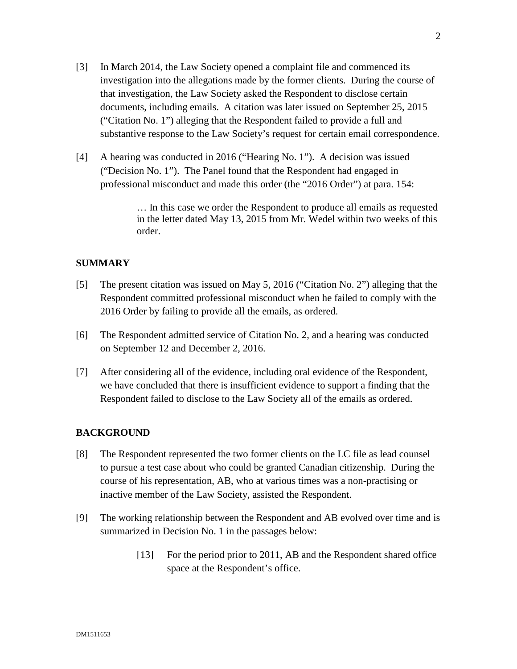- [3] In March 2014, the Law Society opened a complaint file and commenced its investigation into the allegations made by the former clients. During the course of that investigation, the Law Society asked the Respondent to disclose certain documents, including emails. A citation was later issued on September 25, 2015 ("Citation No. 1") alleging that the Respondent failed to provide a full and substantive response to the Law Society's request for certain email correspondence.
- [4] A hearing was conducted in 2016 ("Hearing No. 1"). A decision was issued ("Decision No. 1"). The Panel found that the Respondent had engaged in professional misconduct and made this order (the "2016 Order") at para. 154:

… In this case we order the Respondent to produce all emails as requested in the letter dated May 13, 2015 from Mr. Wedel within two weeks of this order.

### **SUMMARY**

- [5] The present citation was issued on May 5, 2016 ("Citation No. 2") alleging that the Respondent committed professional misconduct when he failed to comply with the 2016 Order by failing to provide all the emails, as ordered.
- [6] The Respondent admitted service of Citation No. 2, and a hearing was conducted on September 12 and December 2, 2016.
- [7] After considering all of the evidence, including oral evidence of the Respondent, we have concluded that there is insufficient evidence to support a finding that the Respondent failed to disclose to the Law Society all of the emails as ordered.

### **BACKGROUND**

- [8] The Respondent represented the two former clients on the LC file as lead counsel to pursue a test case about who could be granted Canadian citizenship. During the course of his representation, AB, who at various times was a non-practising or inactive member of the Law Society, assisted the Respondent.
- [9] The working relationship between the Respondent and AB evolved over time and is summarized in Decision No. 1 in the passages below:
	- [13] For the period prior to 2011, AB and the Respondent shared office space at the Respondent's office.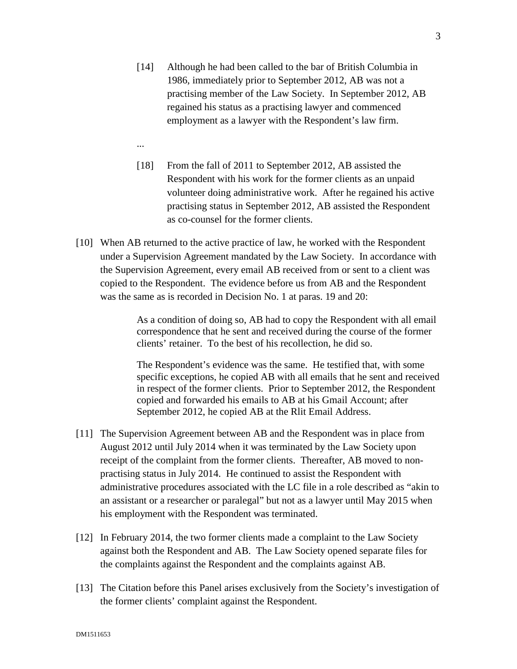- [14] Although he had been called to the bar of British Columbia in 1986, immediately prior to September 2012, AB was not a practising member of the Law Society. In September 2012, AB regained his status as a practising lawyer and commenced employment as a lawyer with the Respondent's law firm.
- ...
- [18] From the fall of 2011 to September 2012, AB assisted the Respondent with his work for the former clients as an unpaid volunteer doing administrative work. After he regained his active practising status in September 2012, AB assisted the Respondent as co-counsel for the former clients.
- [10] When AB returned to the active practice of law, he worked with the Respondent under a Supervision Agreement mandated by the Law Society. In accordance with the Supervision Agreement, every email AB received from or sent to a client was copied to the Respondent. The evidence before us from AB and the Respondent was the same as is recorded in Decision No. 1 at paras. 19 and 20:

As a condition of doing so, AB had to copy the Respondent with all email correspondence that he sent and received during the course of the former clients' retainer. To the best of his recollection, he did so.

The Respondent's evidence was the same. He testified that, with some specific exceptions, he copied AB with all emails that he sent and received in respect of the former clients. Prior to September 2012, the Respondent copied and forwarded his emails to AB at his Gmail Account; after September 2012, he copied AB at the Rlit Email Address.

- [11] The Supervision Agreement between AB and the Respondent was in place from August 2012 until July 2014 when it was terminated by the Law Society upon receipt of the complaint from the former clients. Thereafter, AB moved to nonpractising status in July 2014. He continued to assist the Respondent with administrative procedures associated with the LC file in a role described as "akin to an assistant or a researcher or paralegal" but not as a lawyer until May 2015 when his employment with the Respondent was terminated.
- [12] In February 2014, the two former clients made a complaint to the Law Society against both the Respondent and AB. The Law Society opened separate files for the complaints against the Respondent and the complaints against AB.
- [13] The Citation before this Panel arises exclusively from the Society's investigation of the former clients' complaint against the Respondent.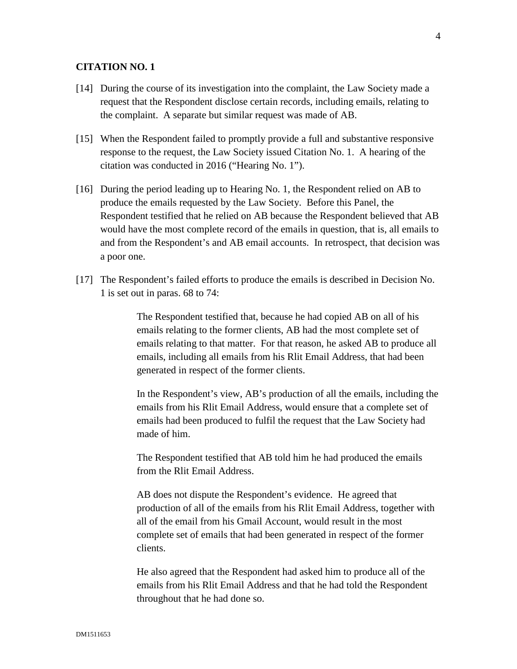### **CITATION NO. 1**

- [14] During the course of its investigation into the complaint, the Law Society made a request that the Respondent disclose certain records, including emails, relating to the complaint. A separate but similar request was made of AB.
- [15] When the Respondent failed to promptly provide a full and substantive responsive response to the request, the Law Society issued Citation No. 1. A hearing of the citation was conducted in 2016 ("Hearing No. 1").
- [16] During the period leading up to Hearing No. 1, the Respondent relied on AB to produce the emails requested by the Law Society. Before this Panel, the Respondent testified that he relied on AB because the Respondent believed that AB would have the most complete record of the emails in question, that is, all emails to and from the Respondent's and AB email accounts. In retrospect, that decision was a poor one.
- [17] The Respondent's failed efforts to produce the emails is described in Decision No. 1 is set out in paras. 68 to 74:

The Respondent testified that, because he had copied AB on all of his emails relating to the former clients, AB had the most complete set of emails relating to that matter. For that reason, he asked AB to produce all emails, including all emails from his Rlit Email Address, that had been generated in respect of the former clients.

In the Respondent's view, AB's production of all the emails, including the emails from his Rlit Email Address, would ensure that a complete set of emails had been produced to fulfil the request that the Law Society had made of him.

The Respondent testified that AB told him he had produced the emails from the Rlit Email Address.

AB does not dispute the Respondent's evidence. He agreed that production of all of the emails from his Rlit Email Address, together with all of the email from his Gmail Account, would result in the most complete set of emails that had been generated in respect of the former clients.

He also agreed that the Respondent had asked him to produce all of the emails from his Rlit Email Address and that he had told the Respondent throughout that he had done so.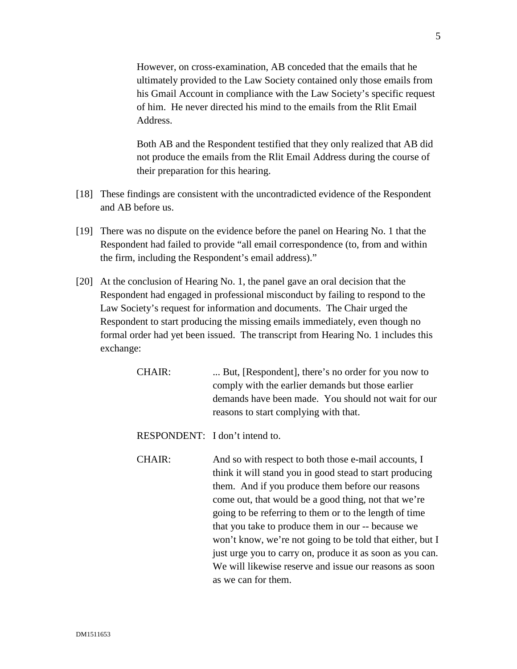However, on cross-examination, AB conceded that the emails that he ultimately provided to the Law Society contained only those emails from his Gmail Account in compliance with the Law Society's specific request of him. He never directed his mind to the emails from the Rlit Email Address.

Both AB and the Respondent testified that they only realized that AB did not produce the emails from the Rlit Email Address during the course of their preparation for this hearing.

- [18] These findings are consistent with the uncontradicted evidence of the Respondent and AB before us.
- [19] There was no dispute on the evidence before the panel on Hearing No. 1 that the Respondent had failed to provide "all email correspondence (to, from and within the firm, including the Respondent's email address)."
- [20] At the conclusion of Hearing No. 1, the panel gave an oral decision that the Respondent had engaged in professional misconduct by failing to respond to the Law Society's request for information and documents. The Chair urged the Respondent to start producing the missing emails immediately, even though no formal order had yet been issued. The transcript from Hearing No. 1 includes this exchange:
	- CHAIR: ... But, [Respondent], there's no order for you now to comply with the earlier demands but those earlier demands have been made. You should not wait for our reasons to start complying with that.
	- RESPONDENT: I don't intend to.
	- CHAIR: And so with respect to both those e-mail accounts, I think it will stand you in good stead to start producing them. And if you produce them before our reasons come out, that would be a good thing, not that we're going to be referring to them or to the length of time that you take to produce them in our -- because we won't know, we're not going to be told that either, but I just urge you to carry on, produce it as soon as you can. We will likewise reserve and issue our reasons as soon as we can for them.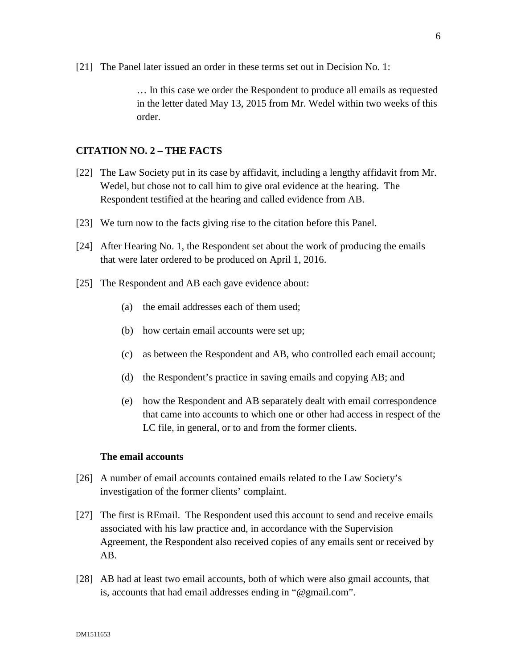[21] The Panel later issued an order in these terms set out in Decision No. 1:

… In this case we order the Respondent to produce all emails as requested in the letter dated May 13, 2015 from Mr. Wedel within two weeks of this order.

### **CITATION NO. 2 – THE FACTS**

- [22] The Law Society put in its case by affidavit, including a lengthy affidavit from Mr. Wedel, but chose not to call him to give oral evidence at the hearing. The Respondent testified at the hearing and called evidence from AB.
- [23] We turn now to the facts giving rise to the citation before this Panel.
- [24] After Hearing No. 1, the Respondent set about the work of producing the emails that were later ordered to be produced on April 1, 2016.
- [25] The Respondent and AB each gave evidence about:
	- (a) the email addresses each of them used;
	- (b) how certain email accounts were set up;
	- (c) as between the Respondent and AB, who controlled each email account;
	- (d) the Respondent's practice in saving emails and copying AB; and
	- (e) how the Respondent and AB separately dealt with email correspondence that came into accounts to which one or other had access in respect of the LC file, in general, or to and from the former clients.

#### **The email accounts**

- [26] A number of email accounts contained emails related to the Law Society's investigation of the former clients' complaint.
- [27] The first is REmail. The Respondent used this account to send and receive emails associated with his law practice and, in accordance with the Supervision Agreement, the Respondent also received copies of any emails sent or received by AB.
- [28] AB had at least two email accounts, both of which were also gmail accounts, that is, accounts that had email addresses ending in "@gmail.com".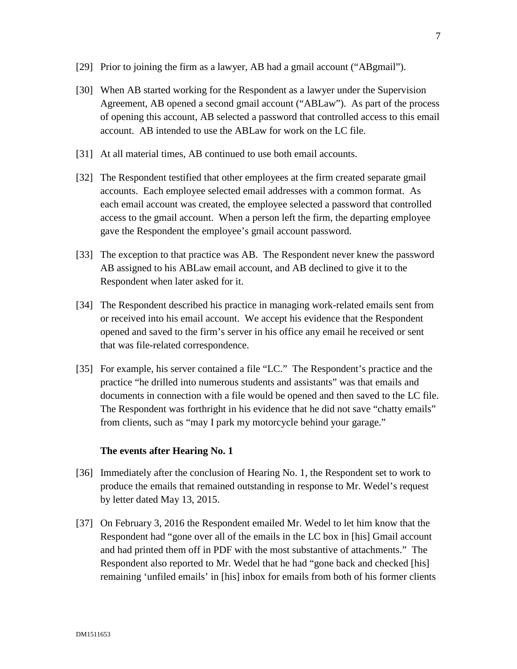- [29] Prior to joining the firm as a lawyer, AB had a gmail account ("ABgmail").
- [30] When AB started working for the Respondent as a lawyer under the Supervision Agreement, AB opened a second gmail account ("ABLaw"). As part of the process of opening this account, AB selected a password that controlled access to this email account. AB intended to use the ABLaw for work on the LC file.
- [31] At all material times, AB continued to use both email accounts.
- [32] The Respondent testified that other employees at the firm created separate gmail accounts. Each employee selected email addresses with a common format. As each email account was created, the employee selected a password that controlled access to the gmail account. When a person left the firm, the departing employee gave the Respondent the employee's gmail account password.
- [33] The exception to that practice was AB. The Respondent never knew the password AB assigned to his ABLaw email account, and AB declined to give it to the Respondent when later asked for it.
- [34] The Respondent described his practice in managing work-related emails sent from or received into his email account. We accept his evidence that the Respondent opened and saved to the firm's server in his office any email he received or sent that was file-related correspondence.
- [35] For example, his server contained a file "LC." The Respondent's practice and the practice "he drilled into numerous students and assistants" was that emails and documents in connection with a file would be opened and then saved to the LC file. The Respondent was forthright in his evidence that he did not save "chatty emails" from clients, such as "may I park my motorcycle behind your garage."

### **The events after Hearing No. 1**

- [36] Immediately after the conclusion of Hearing No. 1, the Respondent set to work to produce the emails that remained outstanding in response to Mr. Wedel's request by letter dated May 13, 2015.
- [37] On February 3, 2016 the Respondent emailed Mr. Wedel to let him know that the Respondent had "gone over all of the emails in the LC box in [his] Gmail account and had printed them off in PDF with the most substantive of attachments." The Respondent also reported to Mr. Wedel that he had "gone back and checked [his] remaining 'unfiled emails' in [his] inbox for emails from both of his former clients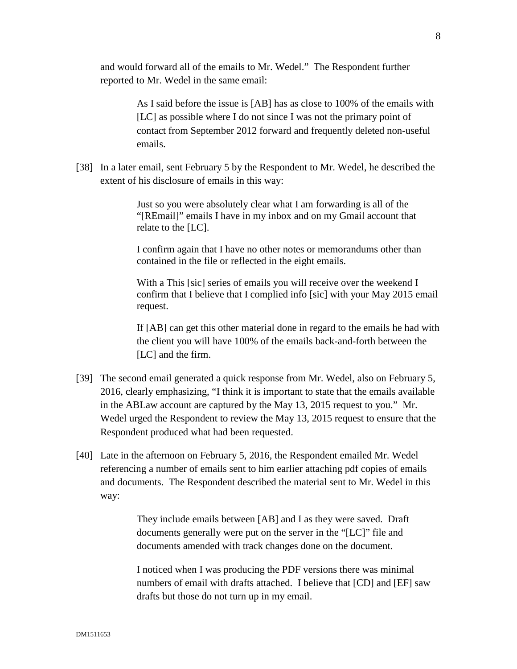and would forward all of the emails to Mr. Wedel." The Respondent further reported to Mr. Wedel in the same email:

> As I said before the issue is [AB] has as close to 100% of the emails with [LC] as possible where I do not since I was not the primary point of contact from September 2012 forward and frequently deleted non-useful emails.

[38] In a later email, sent February 5 by the Respondent to Mr. Wedel, he described the extent of his disclosure of emails in this way:

> Just so you were absolutely clear what I am forwarding is all of the "[REmail]" emails I have in my inbox and on my Gmail account that relate to the [LC].

I confirm again that I have no other notes or memorandums other than contained in the file or reflected in the eight emails.

With a This [sic] series of emails you will receive over the weekend I confirm that I believe that I complied info [sic] with your May 2015 email request.

If [AB] can get this other material done in regard to the emails he had with the client you will have 100% of the emails back-and-forth between the [LC] and the firm.

- [39] The second email generated a quick response from Mr. Wedel, also on February 5, 2016, clearly emphasizing, "I think it is important to state that the emails available in the ABLaw account are captured by the May 13, 2015 request to you." Mr. Wedel urged the Respondent to review the May 13, 2015 request to ensure that the Respondent produced what had been requested.
- [40] Late in the afternoon on February 5, 2016, the Respondent emailed Mr. Wedel referencing a number of emails sent to him earlier attaching pdf copies of emails and documents. The Respondent described the material sent to Mr. Wedel in this way:

They include emails between [AB] and I as they were saved. Draft documents generally were put on the server in the "[LC]" file and documents amended with track changes done on the document.

I noticed when I was producing the PDF versions there was minimal numbers of email with drafts attached. I believe that [CD] and [EF] saw drafts but those do not turn up in my email.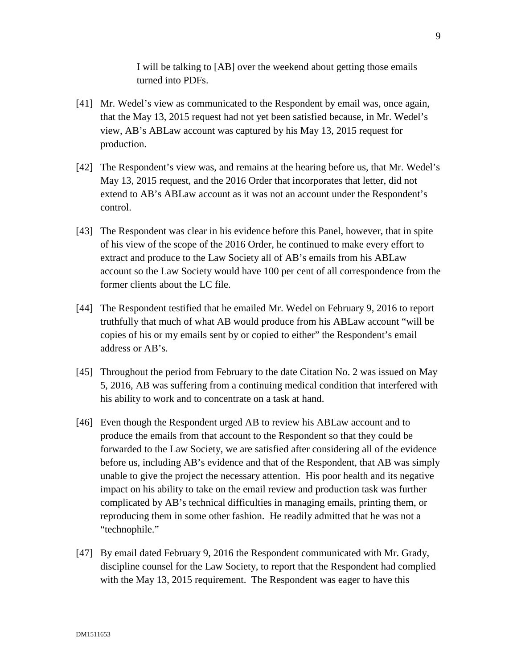I will be talking to [AB] over the weekend about getting those emails turned into PDFs.

- [41] Mr. Wedel's view as communicated to the Respondent by email was, once again, that the May 13, 2015 request had not yet been satisfied because, in Mr. Wedel's view, AB's ABLaw account was captured by his May 13, 2015 request for production.
- [42] The Respondent's view was, and remains at the hearing before us, that Mr. Wedel's May 13, 2015 request, and the 2016 Order that incorporates that letter, did not extend to AB's ABLaw account as it was not an account under the Respondent's control.
- [43] The Respondent was clear in his evidence before this Panel, however, that in spite of his view of the scope of the 2016 Order, he continued to make every effort to extract and produce to the Law Society all of AB's emails from his ABLaw account so the Law Society would have 100 per cent of all correspondence from the former clients about the LC file.
- [44] The Respondent testified that he emailed Mr. Wedel on February 9, 2016 to report truthfully that much of what AB would produce from his ABLaw account "will be copies of his or my emails sent by or copied to either" the Respondent's email address or AB's.
- [45] Throughout the period from February to the date Citation No. 2 was issued on May 5, 2016, AB was suffering from a continuing medical condition that interfered with his ability to work and to concentrate on a task at hand.
- [46] Even though the Respondent urged AB to review his ABLaw account and to produce the emails from that account to the Respondent so that they could be forwarded to the Law Society, we are satisfied after considering all of the evidence before us, including AB's evidence and that of the Respondent, that AB was simply unable to give the project the necessary attention. His poor health and its negative impact on his ability to take on the email review and production task was further complicated by AB's technical difficulties in managing emails, printing them, or reproducing them in some other fashion. He readily admitted that he was not a "technophile."
- [47] By email dated February 9, 2016 the Respondent communicated with Mr. Grady, discipline counsel for the Law Society, to report that the Respondent had complied with the May 13, 2015 requirement. The Respondent was eager to have this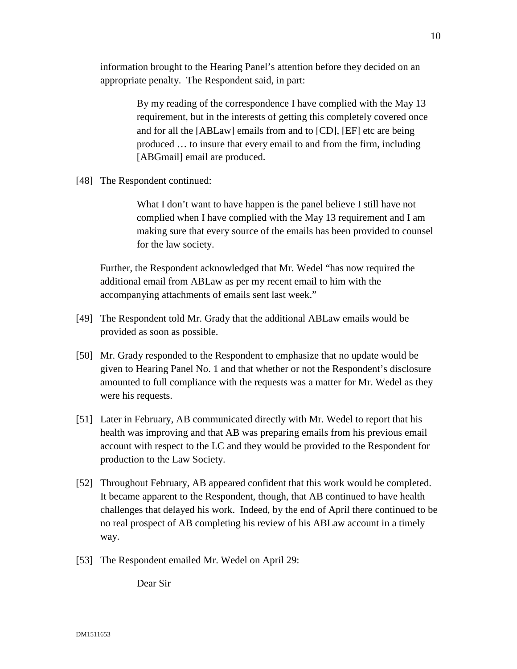information brought to the Hearing Panel's attention before they decided on an appropriate penalty. The Respondent said, in part:

> By my reading of the correspondence I have complied with the May 13 requirement, but in the interests of getting this completely covered once and for all the [ABLaw] emails from and to [CD], [EF] etc are being produced … to insure that every email to and from the firm, including [ABGmail] email are produced.

[48] The Respondent continued:

What I don't want to have happen is the panel believe I still have not complied when I have complied with the May 13 requirement and I am making sure that every source of the emails has been provided to counsel for the law society.

Further, the Respondent acknowledged that Mr. Wedel "has now required the additional email from ABLaw as per my recent email to him with the accompanying attachments of emails sent last week."

- [49] The Respondent told Mr. Grady that the additional ABLaw emails would be provided as soon as possible.
- [50] Mr. Grady responded to the Respondent to emphasize that no update would be given to Hearing Panel No. 1 and that whether or not the Respondent's disclosure amounted to full compliance with the requests was a matter for Mr. Wedel as they were his requests.
- [51] Later in February, AB communicated directly with Mr. Wedel to report that his health was improving and that AB was preparing emails from his previous email account with respect to the LC and they would be provided to the Respondent for production to the Law Society.
- [52] Throughout February, AB appeared confident that this work would be completed. It became apparent to the Respondent, though, that AB continued to have health challenges that delayed his work. Indeed, by the end of April there continued to be no real prospect of AB completing his review of his ABLaw account in a timely way.
- [53] The Respondent emailed Mr. Wedel on April 29:

Dear Sir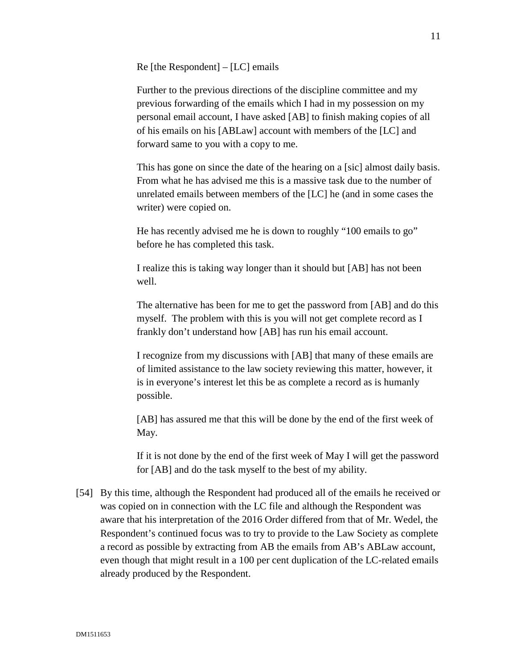Re [the Respondent] – [LC] emails

Further to the previous directions of the discipline committee and my previous forwarding of the emails which I had in my possession on my personal email account, I have asked [AB] to finish making copies of all of his emails on his [ABLaw] account with members of the [LC] and forward same to you with a copy to me.

This has gone on since the date of the hearing on a [sic] almost daily basis. From what he has advised me this is a massive task due to the number of unrelated emails between members of the [LC] he (and in some cases the writer) were copied on.

He has recently advised me he is down to roughly "100 emails to go" before he has completed this task.

I realize this is taking way longer than it should but [AB] has not been well.

The alternative has been for me to get the password from [AB] and do this myself. The problem with this is you will not get complete record as I frankly don't understand how [AB] has run his email account.

I recognize from my discussions with [AB] that many of these emails are of limited assistance to the law society reviewing this matter, however, it is in everyone's interest let this be as complete a record as is humanly possible.

[AB] has assured me that this will be done by the end of the first week of May.

If it is not done by the end of the first week of May I will get the password for [AB] and do the task myself to the best of my ability.

[54] By this time, although the Respondent had produced all of the emails he received or was copied on in connection with the LC file and although the Respondent was aware that his interpretation of the 2016 Order differed from that of Mr. Wedel, the Respondent's continued focus was to try to provide to the Law Society as complete a record as possible by extracting from AB the emails from AB's ABLaw account, even though that might result in a 100 per cent duplication of the LC-related emails already produced by the Respondent.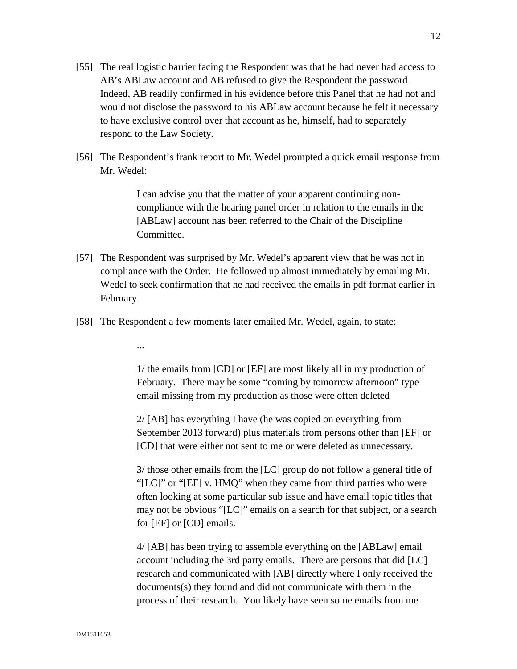- [55] The real logistic barrier facing the Respondent was that he had never had access to AB's ABLaw account and AB refused to give the Respondent the password. Indeed, AB readily confirmed in his evidence before this Panel that he had not and would not disclose the password to his ABLaw account because he felt it necessary to have exclusive control over that account as he, himself, had to separately respond to the Law Society.
- [56] The Respondent's frank report to Mr. Wedel prompted a quick email response from Mr. Wedel:

I can advise you that the matter of your apparent continuing noncompliance with the hearing panel order in relation to the emails in the [ABLaw] account has been referred to the Chair of the Discipline Committee.

- [57] The Respondent was surprised by Mr. Wedel's apparent view that he was not in compliance with the Order. He followed up almost immediately by emailing Mr. Wedel to seek confirmation that he had received the emails in pdf format earlier in February.
- [58] The Respondent a few moments later emailed Mr. Wedel, again, to state:

...

1/ the emails from [CD] or [EF] are most likely all in my production of February. There may be some "coming by tomorrow afternoon" type email missing from my production as those were often deleted

2/ [AB] has everything I have (he was copied on everything from September 2013 forward) plus materials from persons other than [EF] or [CD] that were either not sent to me or were deleted as unnecessary.

3/ those other emails from the [LC] group do not follow a general title of "[LC]" or "[EF] v. HMQ" when they came from third parties who were often looking at some particular sub issue and have email topic titles that may not be obvious "[LC]" emails on a search for that subject, or a search for [EF] or [CD] emails.

4/ [AB] has been trying to assemble everything on the [ABLaw] email account including the 3rd party emails. There are persons that did [LC] research and communicated with [AB] directly where I only received the documents(s) they found and did not communicate with them in the process of their research. You likely have seen some emails from me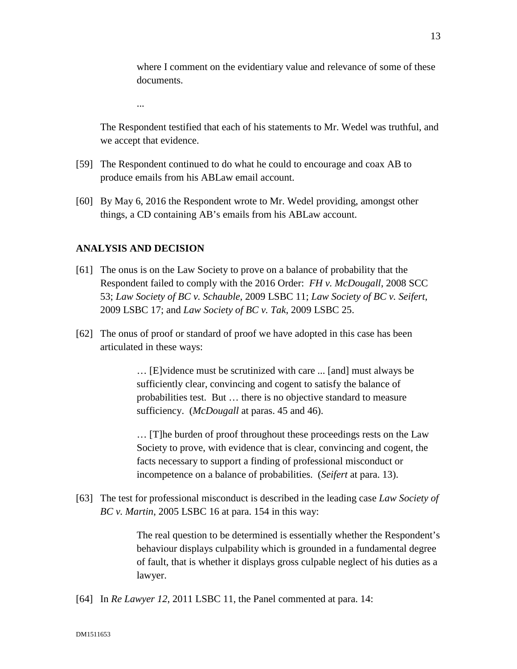where I comment on the evidentiary value and relevance of some of these documents.

...

The Respondent testified that each of his statements to Mr. Wedel was truthful, and we accept that evidence.

- [59] The Respondent continued to do what he could to encourage and coax AB to produce emails from his ABLaw email account.
- [60] By May 6, 2016 the Respondent wrote to Mr. Wedel providing, amongst other things, a CD containing AB's emails from his ABLaw account.

### **ANALYSIS AND DECISION**

- [61] The onus is on the Law Society to prove on a balance of probability that the Respondent failed to comply with the 2016 Order: *FH v. McDougall*, 2008 SCC 53; *Law Society of BC v. Schauble*, 2009 LSBC 11; *Law Society of BC v. Seifert*, 2009 LSBC 17; and *Law Society of BC v. Tak*, 2009 LSBC 25.
- [62] The onus of proof or standard of proof we have adopted in this case has been articulated in these ways:

… [E]vidence must be scrutinized with care ... [and] must always be sufficiently clear, convincing and cogent to satisfy the balance of probabilities test. But … there is no objective standard to measure sufficiency. (*McDougall* at paras. 45 and 46).

… [T]he burden of proof throughout these proceedings rests on the Law Society to prove, with evidence that is clear, convincing and cogent, the facts necessary to support a finding of professional misconduct or incompetence on a balance of probabilities. (*Seifert* at para. 13).

[63] The test for professional misconduct is described in the leading case *Law Society of BC v. Martin*, 2005 LSBC 16 at para. 154 in this way:

> The real question to be determined is essentially whether the Respondent's behaviour displays culpability which is grounded in a fundamental degree of fault, that is whether it displays gross culpable neglect of his duties as a lawyer.

[64] In *Re Lawyer 12*, 2011 LSBC 11, the Panel commented at para. 14: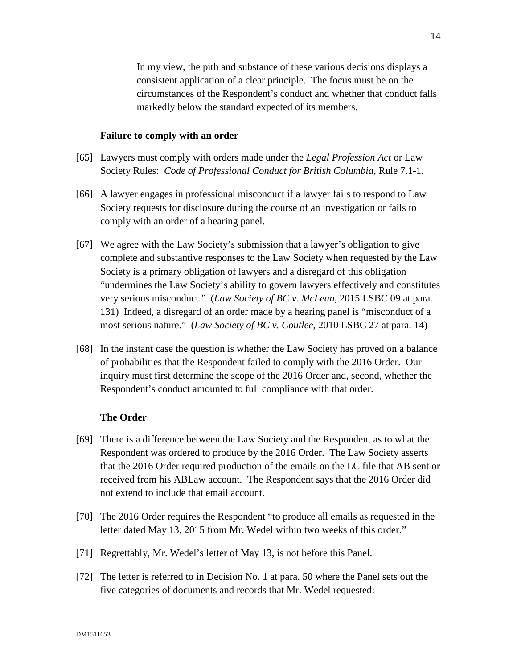In my view, the pith and substance of these various decisions displays a consistent application of a clear principle. The focus must be on the circumstances of the Respondent's conduct and whether that conduct falls markedly below the standard expected of its members.

#### **Failure to comply with an order**

- [65] Lawyers must comply with orders made under the *Legal Profession Act* or Law Society Rules: *Code of Professional Conduct for British Columbia,* Rule 7.1-1.
- [66] A lawyer engages in professional misconduct if a lawyer fails to respond to Law Society requests for disclosure during the course of an investigation or fails to comply with an order of a hearing panel.
- [67] We agree with the Law Society's submission that a lawyer's obligation to give complete and substantive responses to the Law Society when requested by the Law Society is a primary obligation of lawyers and a disregard of this obligation "undermines the Law Society's ability to govern lawyers effectively and constitutes very serious misconduct." (*Law Society of BC v. McLean*, 2015 LSBC 09 at para. 131) Indeed, a disregard of an order made by a hearing panel is "misconduct of a most serious nature." (*Law Society of BC v. Coutlee*, 2010 LSBC 27 at para. 14)
- [68] In the instant case the question is whether the Law Society has proved on a balance of probabilities that the Respondent failed to comply with the 2016 Order. Our inquiry must first determine the scope of the 2016 Order and, second, whether the Respondent's conduct amounted to full compliance with that order.

### **The Order**

- [69] There is a difference between the Law Society and the Respondent as to what the Respondent was ordered to produce by the 2016 Order. The Law Society asserts that the 2016 Order required production of the emails on the LC file that AB sent or received from his ABLaw account. The Respondent says that the 2016 Order did not extend to include that email account.
- [70] The 2016 Order requires the Respondent "to produce all emails as requested in the letter dated May 13, 2015 from Mr. Wedel within two weeks of this order."
- [71] Regrettably, Mr. Wedel's letter of May 13, is not before this Panel.
- [72] The letter is referred to in Decision No. 1 at para. 50 where the Panel sets out the five categories of documents and records that Mr. Wedel requested: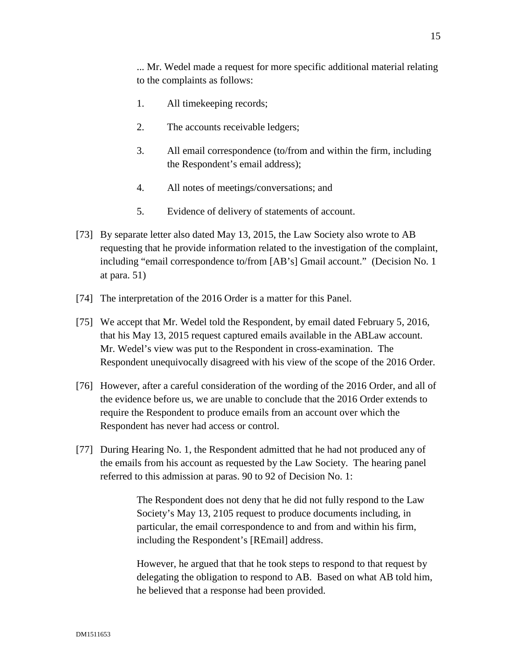... Mr. Wedel made a request for more specific additional material relating to the complaints as follows:

- 1. All timekeeping records;
- 2. The accounts receivable ledgers;
- 3. All email correspondence (to/from and within the firm, including the Respondent's email address);
- 4. All notes of meetings/conversations; and
- 5. Evidence of delivery of statements of account.
- [73] By separate letter also dated May 13, 2015, the Law Society also wrote to AB requesting that he provide information related to the investigation of the complaint, including "email correspondence to/from [AB's] Gmail account." (Decision No. 1 at para. 51)
- [74] The interpretation of the 2016 Order is a matter for this Panel.
- [75] We accept that Mr. Wedel told the Respondent, by email dated February 5, 2016, that his May 13, 2015 request captured emails available in the ABLaw account. Mr. Wedel's view was put to the Respondent in cross-examination. The Respondent unequivocally disagreed with his view of the scope of the 2016 Order.
- [76] However, after a careful consideration of the wording of the 2016 Order, and all of the evidence before us, we are unable to conclude that the 2016 Order extends to require the Respondent to produce emails from an account over which the Respondent has never had access or control.
- [77] During Hearing No. 1, the Respondent admitted that he had not produced any of the emails from his account as requested by the Law Society. The hearing panel referred to this admission at paras. 90 to 92 of Decision No. 1:

The Respondent does not deny that he did not fully respond to the Law Society's May 13, 2105 request to produce documents including, in particular, the email correspondence to and from and within his firm, including the Respondent's [REmail] address.

However, he argued that that he took steps to respond to that request by delegating the obligation to respond to AB. Based on what AB told him, he believed that a response had been provided.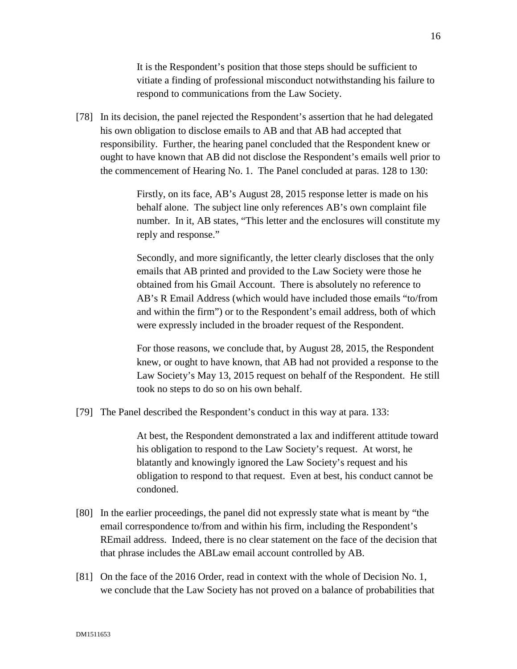It is the Respondent's position that those steps should be sufficient to vitiate a finding of professional misconduct notwithstanding his failure to respond to communications from the Law Society.

[78] In its decision, the panel rejected the Respondent's assertion that he had delegated his own obligation to disclose emails to AB and that AB had accepted that responsibility. Further, the hearing panel concluded that the Respondent knew or ought to have known that AB did not disclose the Respondent's emails well prior to the commencement of Hearing No. 1. The Panel concluded at paras. 128 to 130:

> Firstly, on its face, AB's August 28, 2015 response letter is made on his behalf alone. The subject line only references AB's own complaint file number. In it, AB states, "This letter and the enclosures will constitute my reply and response."

> Secondly, and more significantly, the letter clearly discloses that the only emails that AB printed and provided to the Law Society were those he obtained from his Gmail Account. There is absolutely no reference to AB's R Email Address (which would have included those emails "to/from and within the firm") or to the Respondent's email address, both of which were expressly included in the broader request of the Respondent.

> For those reasons, we conclude that, by August 28, 2015, the Respondent knew, or ought to have known, that AB had not provided a response to the Law Society's May 13, 2015 request on behalf of the Respondent. He still took no steps to do so on his own behalf.

[79] The Panel described the Respondent's conduct in this way at para. 133:

At best, the Respondent demonstrated a lax and indifferent attitude toward his obligation to respond to the Law Society's request. At worst, he blatantly and knowingly ignored the Law Society's request and his obligation to respond to that request. Even at best, his conduct cannot be condoned.

- [80] In the earlier proceedings, the panel did not expressly state what is meant by "the email correspondence to/from and within his firm, including the Respondent's REmail address. Indeed, there is no clear statement on the face of the decision that that phrase includes the ABLaw email account controlled by AB.
- [81] On the face of the 2016 Order, read in context with the whole of Decision No. 1, we conclude that the Law Society has not proved on a balance of probabilities that